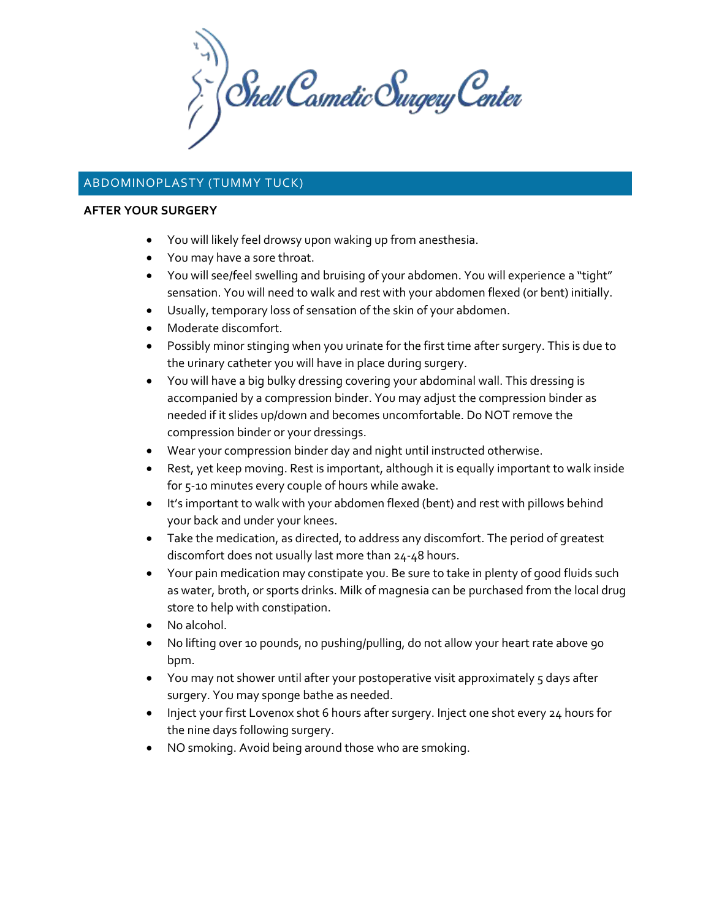$\sum_{i}^{n}$  Shell Cosmetic Surgery Center

# ABDOMINOPLASTY (TUMMY TUCK)

#### **AFTER YOUR SURGERY**

- You will likely feel drowsy upon waking up from anesthesia.
- You may have a sore throat.
- You will see/feel swelling and bruising of your abdomen. You will experience a "tight" sensation. You will need to walk and rest with your abdomen flexed (or bent) initially.
- Usually, temporary loss of sensation of the skin of your abdomen.
- Moderate discomfort.
- Possibly minor stinging when you urinate for the first time after surgery. This is due to the urinary catheter you will have in place during surgery.
- You will have a big bulky dressing covering your abdominal wall. This dressing is accompanied by a compression binder. You may adjust the compression binder as needed if it slides up/down and becomes uncomfortable. Do NOT remove the compression binder or your dressings.
- Wear your compression binder day and night until instructed otherwise.
- Rest, yet keep moving. Rest is important, although it is equally important to walk inside for 5-10 minutes every couple of hours while awake.
- It's important to walk with your abdomen flexed (bent) and rest with pillows behind your back and under your knees.
- Take the medication, as directed, to address any discomfort. The period of greatest discomfort does not usually last more than 24-48 hours.
- Your pain medication may constipate you. Be sure to take in plenty of good fluids such as water, broth, or sports drinks. Milk of magnesia can be purchased from the local drug store to help with constipation.
- No alcohol.
- No lifting over 10 pounds, no pushing/pulling, do not allow your heart rate above 90 bpm.
- You may not shower until after your postoperative visit approximately 5 days after surgery. You may sponge bathe as needed.
- Inject your first Lovenox shot 6 hours after surgery. Inject one shot every 24 hours for the nine days following surgery.
- NO smoking. Avoid being around those who are smoking.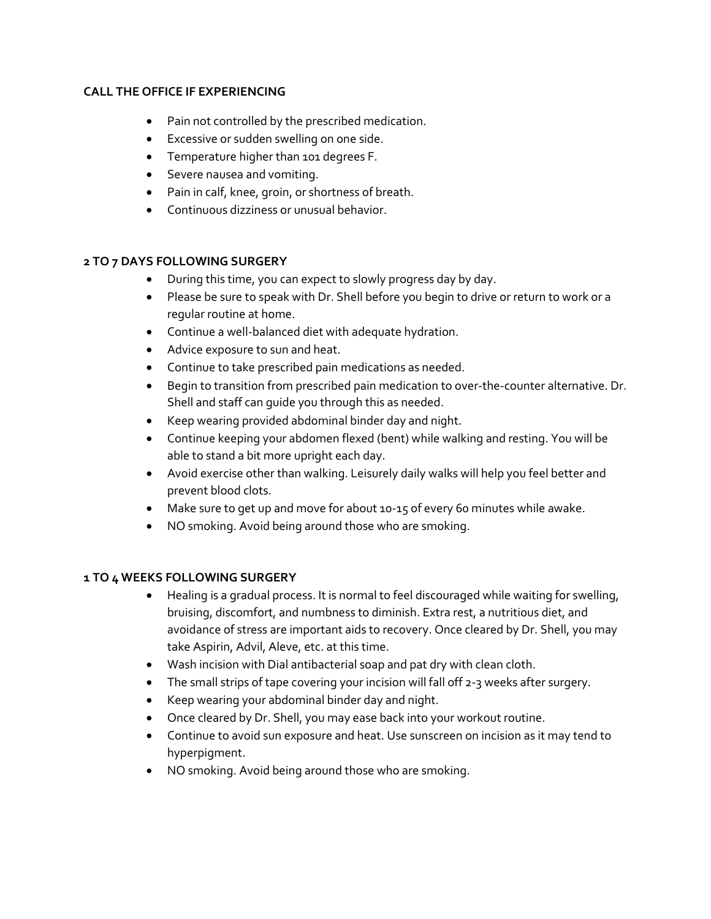#### **CALL THE OFFICE IF EXPERIENCING**

- Pain not controlled by the prescribed medication.
- Excessive or sudden swelling on one side.
- Temperature higher than 101 degrees F.
- Severe nausea and vomiting.
- Pain in calf, knee, groin, or shortness of breath.
- Continuous dizziness or unusual behavior.

# **2 TO 7 DAYS FOLLOWING SURGERY**

- During this time, you can expect to slowly progress day by day.
- Please be sure to speak with Dr. Shell before you begin to drive or return to work or a regular routine at home.
- Continue a well-balanced diet with adequate hydration.
- Advice exposure to sun and heat.
- Continue to take prescribed pain medications as needed.
- Begin to transition from prescribed pain medication to over-the-counter alternative. Dr. Shell and staff can guide you through this as needed.
- Keep wearing provided abdominal binder day and night.
- Continue keeping your abdomen flexed (bent) while walking and resting. You will be able to stand a bit more upright each day.
- Avoid exercise other than walking. Leisurely daily walks will help you feel better and prevent blood clots.
- Make sure to get up and move for about 10-15 of every 60 minutes while awake.
- NO smoking. Avoid being around those who are smoking.

### **1 TO 4 WEEKS FOLLOWING SURGERY**

- Healing is a gradual process. It is normal to feel discouraged while waiting for swelling, bruising, discomfort, and numbness to diminish. Extra rest, a nutritious diet, and avoidance of stress are important aids to recovery. Once cleared by Dr. Shell, you may take Aspirin, Advil, Aleve, etc. at this time.
- Wash incision with Dial antibacterial soap and pat dry with clean cloth.
- The small strips of tape covering your incision will fall off 2-3 weeks after surgery.
- Keep wearing your abdominal binder day and night.
- Once cleared by Dr. Shell, you may ease back into your workout routine.
- Continue to avoid sun exposure and heat. Use sunscreen on incision as it may tend to hyperpigment.
- NO smoking. Avoid being around those who are smoking.